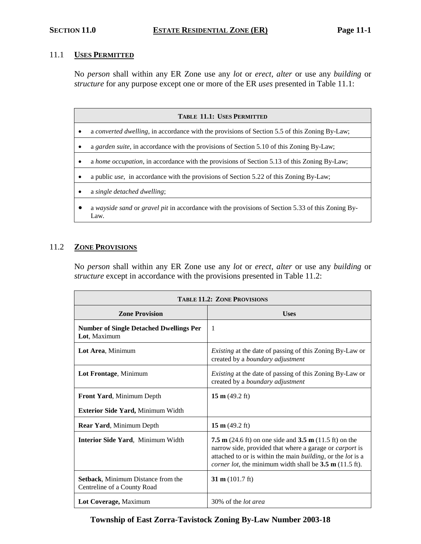### 11.1 **USES PERMITTED**

No *person* shall within any ER Zone use any *lot* or *erect, alter* or use any *building* or *structure* for any purpose except one or more of the ER *uses* presented in Table 11.1:

| <b>TABLE 11.1: USES PERMITTED</b> |                                                                                                           |  |  |
|-----------------------------------|-----------------------------------------------------------------------------------------------------------|--|--|
|                                   | a converted dwelling, in accordance with the provisions of Section 5.5 of this Zoning By-Law;             |  |  |
|                                   | a garden suite, in accordance with the provisions of Section 5.10 of this Zoning By-Law;                  |  |  |
|                                   | a home occupation, in accordance with the provisions of Section 5.13 of this Zoning By-Law;               |  |  |
|                                   | a public <i>use</i> , in accordance with the provisions of Section 5.22 of this Zoning By-Law;            |  |  |
|                                   | a single detached dwelling;                                                                               |  |  |
|                                   | a wayside sand or gravel pit in accordance with the provisions of Section 5.33 of this Zoning By-<br>Law. |  |  |

# 11.2 **ZONE PROVISIONS**

No *person* shall within any ER Zone use any *lot* or *erect, alter* or use any *building* or *structure* except in accordance with the provisions presented in Table 11.2:

| <b>TABLE 11.2: ZONE PROVISIONS</b>                                       |                                                                                                                                                                                                                                                                                                   |  |
|--------------------------------------------------------------------------|---------------------------------------------------------------------------------------------------------------------------------------------------------------------------------------------------------------------------------------------------------------------------------------------------|--|
| <b>Zone Provision</b>                                                    | <b>Uses</b>                                                                                                                                                                                                                                                                                       |  |
| <b>Number of Single Detached Dwellings Per</b><br>Lot, Maximum           | -1                                                                                                                                                                                                                                                                                                |  |
| Lot Area, Minimum                                                        | <i>Existing</i> at the date of passing of this Zoning By-Law or<br>created by a boundary adjustment                                                                                                                                                                                               |  |
| Lot Frontage, Minimum                                                    | <i>Existing</i> at the date of passing of this Zoning By-Law or<br>created by a boundary adjustment                                                                                                                                                                                               |  |
| Front Yard, Minimum Depth                                                | 15 m $(49.2 \text{ ft})$                                                                                                                                                                                                                                                                          |  |
| <b>Exterior Side Yard, Minimum Width</b>                                 |                                                                                                                                                                                                                                                                                                   |  |
| Rear Yard, Minimum Depth                                                 | 15 m $(49.2 \text{ ft})$                                                                                                                                                                                                                                                                          |  |
| <b>Interior Side Yard, Minimum Width</b>                                 | <b>7.5 m</b> (24.6 ft) on one side and <b>3.5 m</b> (11.5 ft) on the<br>narrow side, provided that where a garage or <i>carport</i> is<br>attached to or is within the main <i>building</i> , or the <i>lot</i> is a<br><i>corner lot</i> , the minimum width shall be $3.5 \text{ m}$ (11.5 ft). |  |
| <b>Setback, Minimum Distance from the</b><br>Centreline of a County Road | 31 m $(101.7 \text{ ft})$                                                                                                                                                                                                                                                                         |  |
| Lot Coverage, Maximum                                                    | 30% of the <i>lot area</i>                                                                                                                                                                                                                                                                        |  |

# **Township of East Zorra-Tavistock Zoning By-Law Number 2003-18**